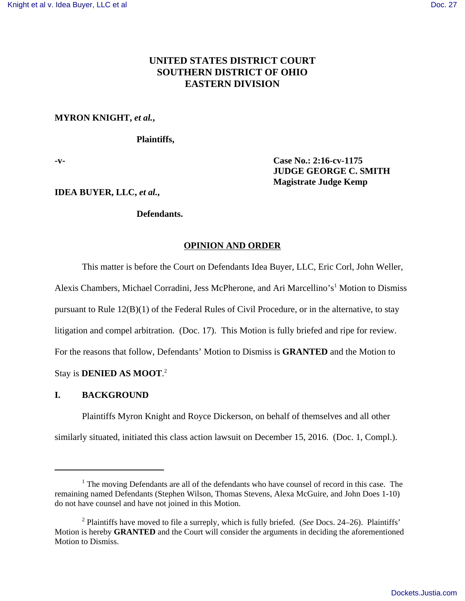# **UNITED STATES DISTRICT COURT SOUTHERN DISTRICT OF OHIO EASTERN DIVISION**

## **MYRON KNIGHT,** *et al.***,**

## **Plaintiffs,**

**-v- Case No.: 2:16-cv-1175 JUDGE GEORGE C. SMITH Magistrate Judge Kemp**

**IDEA BUYER, LLC,** *et al.***,**

# **Defendants.**

## **OPINION AND ORDER**

This matter is before the Court on Defendants Idea Buyer, LLC, Eric Corl, John Weller,

Alexis Chambers, Michael Corradini, Jess McPherone, and Ari Marcellino's<sup>1</sup> Motion to Dismiss

pursuant to Rule 12(B)(1) of the Federal Rules of Civil Procedure, or in the alternative, to stay

litigation and compel arbitration. (Doc. 17). This Motion is fully briefed and ripe for review.

For the reasons that follow, Defendants' Motion to Dismiss is **GRANTED** and the Motion to

Stay is **DENIED AS MOOT**. 2

# **I. BACKGROUND**

Plaintiffs Myron Knight and Royce Dickerson, on behalf of themselves and all other similarly situated, initiated this class action lawsuit on December 15, 2016. (Doc. 1, Compl.).

 $<sup>1</sup>$  The moving Defendants are all of the defendants who have counsel of record in this case. The</sup> remaining named Defendants (Stephen Wilson, Thomas Stevens, Alexa McGuire, and John Does 1-10) do not have counsel and have not joined in this Motion.

<sup>2</sup> Plaintiffs have moved to file a surreply, which is fully briefed. (*See* Docs. 24–26). Plaintiffs' Motion is hereby **GRANTED** and the Court will consider the arguments in deciding the aforementioned Motion to Dismiss.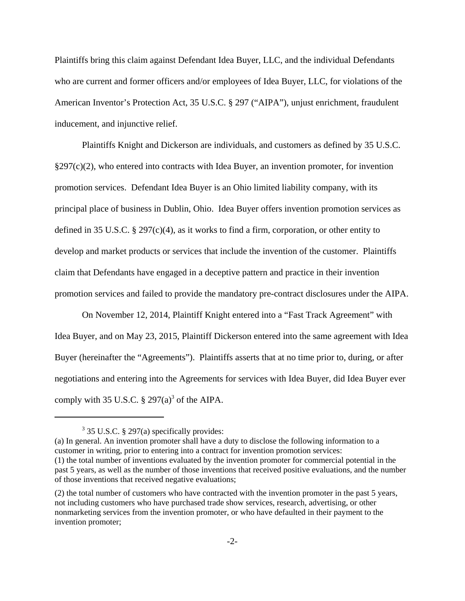Plaintiffs bring this claim against Defendant Idea Buyer, LLC, and the individual Defendants who are current and former officers and/or employees of Idea Buyer, LLC, for violations of the American Inventor's Protection Act, 35 U.S.C. § 297 ("AIPA"), unjust enrichment, fraudulent inducement, and injunctive relief.

Plaintiffs Knight and Dickerson are individuals, and customers as defined by 35 U.S.C. §297(c)(2), who entered into contracts with Idea Buyer, an invention promoter, for invention promotion services. Defendant Idea Buyer is an Ohio limited liability company, with its principal place of business in Dublin, Ohio. Idea Buyer offers invention promotion services as defined in 35 U.S.C.  $\S 297(c)(4)$ , as it works to find a firm, corporation, or other entity to develop and market products or services that include the invention of the customer. Plaintiffs claim that Defendants have engaged in a deceptive pattern and practice in their invention promotion services and failed to provide the mandatory pre-contract disclosures under the AIPA.

On November 12, 2014, Plaintiff Knight entered into a "Fast Track Agreement" with Idea Buyer, and on May 23, 2015, Plaintiff Dickerson entered into the same agreement with Idea Buyer (hereinafter the "Agreements"). Plaintiffs asserts that at no time prior to, during, or after negotiations and entering into the Agreements for services with Idea Buyer, did Idea Buyer ever comply with 35 U.S.C.  $\S 297(a)^3$  of the AIPA.

(a) In general. An invention promoter shall have a duty to disclose the following information to a customer in writing, prior to entering into a contract for invention promotion services: (1) the total number of inventions evaluated by the invention promoter for commercial potential in the past 5 years, as well as the number of those inventions that received positive evaluations, and the number of those inventions that received negative evaluations;

<sup>&</sup>lt;sup>3</sup> 35 U.S.C. § 297(a) specifically provides:

<sup>(2)</sup> the total number of customers who have contracted with the invention promoter in the past 5 years, not including customers who have purchased trade show services, research, advertising, or other nonmarketing services from the invention promoter, or who have defaulted in their payment to the invention promoter;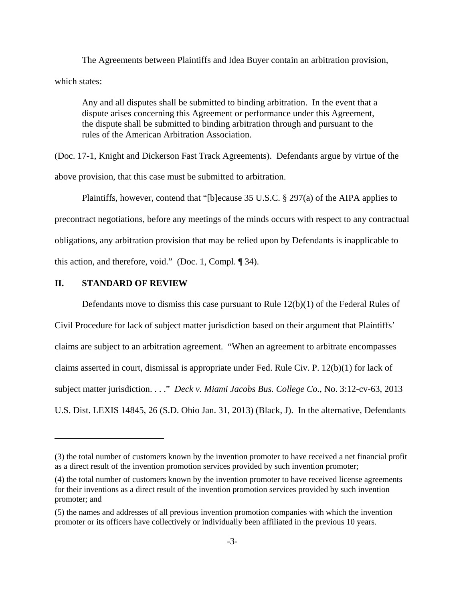The Agreements between Plaintiffs and Idea Buyer contain an arbitration provision, which states:

Any and all disputes shall be submitted to binding arbitration. In the event that a dispute arises concerning this Agreement or performance under this Agreement, the dispute shall be submitted to binding arbitration through and pursuant to the rules of the American Arbitration Association.

(Doc. 17-1, Knight and Dickerson Fast Track Agreements). Defendants argue by virtue of the above provision, that this case must be submitted to arbitration.

Plaintiffs, however, contend that "[b]ecause 35 U.S.C. § 297(a) of the AIPA applies to precontract negotiations, before any meetings of the minds occurs with respect to any contractual obligations, any arbitration provision that may be relied upon by Defendants is inapplicable to this action, and therefore, void." (Doc. 1, Compl. ¶ 34).

### **II. STANDARD OF REVIEW**

Defendants move to dismiss this case pursuant to Rule 12(b)(1) of the Federal Rules of Civil Procedure for lack of subject matter jurisdiction based on their argument that Plaintiffs' claims are subject to an arbitration agreement. "When an agreement to arbitrate encompasses claims asserted in court, dismissal is appropriate under Fed. Rule Civ. P. 12(b)(1) for lack of subject matter jurisdiction. . . ." *Deck v. Miami Jacobs Bus. College Co.*, No. 3:12-cv-63, 2013 U.S. Dist. LEXIS 14845, 26 (S.D. Ohio Jan. 31, 2013) (Black, J). In the alternative, Defendants

<sup>(3)</sup> the total number of customers known by the invention promoter to have received a net financial profit as a direct result of the invention promotion services provided by such invention promoter;

<sup>(4)</sup> the total number of customers known by the invention promoter to have received license agreements for their inventions as a direct result of the invention promotion services provided by such invention promoter; and

<sup>(5)</sup> the names and addresses of all previous invention promotion companies with which the invention promoter or its officers have collectively or individually been affiliated in the previous 10 years.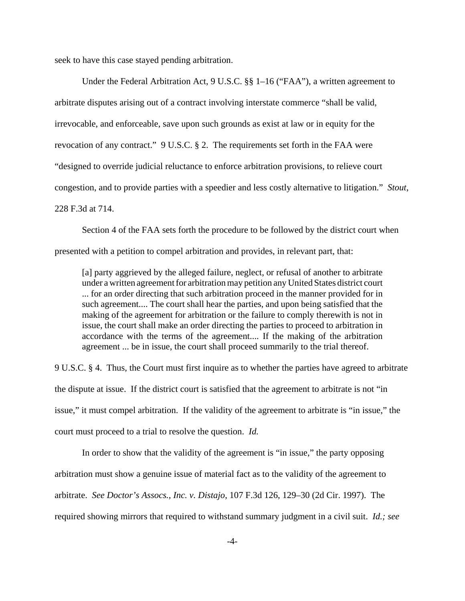seek to have this case stayed pending arbitration.

Under the Federal Arbitration Act, 9 U.S.C. §§ 1–16 ("FAA"), a written agreement to arbitrate disputes arising out of a contract involving interstate commerce "shall be valid, irrevocable, and enforceable, save upon such grounds as exist at law or in equity for the revocation of any contract." 9 U.S.C. § 2. The requirements set forth in the FAA were "designed to override judicial reluctance to enforce arbitration provisions, to relieve court congestion, and to provide parties with a speedier and less costly alternative to litigation." *Stout*, 228 F.3d at 714.

Section 4 of the FAA sets forth the procedure to be followed by the district court when presented with a petition to compel arbitration and provides, in relevant part, that:

[a] party aggrieved by the alleged failure, neglect, or refusal of another to arbitrate under a written agreement for arbitration may petition any United States district court ... for an order directing that such arbitration proceed in the manner provided for in such agreement.... The court shall hear the parties, and upon being satisfied that the making of the agreement for arbitration or the failure to comply therewith is not in issue, the court shall make an order directing the parties to proceed to arbitration in accordance with the terms of the agreement.... If the making of the arbitration agreement ... be in issue, the court shall proceed summarily to the trial thereof.

9 U.S.C. § 4. Thus, the Court must first inquire as to whether the parties have agreed to arbitrate the dispute at issue. If the district court is satisfied that the agreement to arbitrate is not "in issue," it must compel arbitration. If the validity of the agreement to arbitrate is "in issue," the court must proceed to a trial to resolve the question. *Id.* 

In order to show that the validity of the agreement is "in issue," the party opposing arbitration must show a genuine issue of material fact as to the validity of the agreement to arbitrate. *See Doctor's Assocs., Inc. v. Distajo*, 107 F.3d 126, 129–30 (2d Cir. 1997). The required showing mirrors that required to withstand summary judgment in a civil suit. *Id.; see*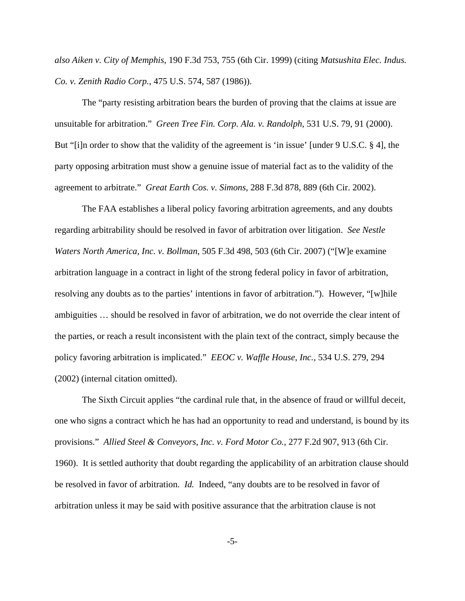*also Aiken v. City of Memphis*, 190 F.3d 753, 755 (6th Cir. 1999) (citing *Matsushita Elec. Indus. Co. v. Zenith Radio Corp.*, 475 U.S. 574, 587 (1986)).

The "party resisting arbitration bears the burden of proving that the claims at issue are unsuitable for arbitration." *Green Tree Fin. Corp. Ala. v. Randolph*, 531 U.S. 79, 91 (2000). But "[i]n order to show that the validity of the agreement is 'in issue' [under 9 U.S.C. § 4], the party opposing arbitration must show a genuine issue of material fact as to the validity of the agreement to arbitrate." *Great Earth Cos. v. Simons*, 288 F.3d 878, 889 (6th Cir. 2002).

The FAA establishes a liberal policy favoring arbitration agreements, and any doubts regarding arbitrability should be resolved in favor of arbitration over litigation. *See Nestle Waters North America, Inc. v. Bollman*, 505 F.3d 498, 503 (6th Cir. 2007) ("[W]e examine arbitration language in a contract in light of the strong federal policy in favor of arbitration, resolving any doubts as to the parties' intentions in favor of arbitration."). However, "[w]hile ambiguities … should be resolved in favor of arbitration, we do not override the clear intent of the parties, or reach a result inconsistent with the plain text of the contract, simply because the policy favoring arbitration is implicated." *EEOC v. Waffle House, Inc.*, 534 U.S. 279, 294 (2002) (internal citation omitted).

The Sixth Circuit applies "the cardinal rule that, in the absence of fraud or willful deceit, one who signs a contract which he has had an opportunity to read and understand, is bound by its provisions." *Allied Steel & Conveyors, Inc. v. Ford Motor Co.*, 277 F.2d 907, 913 (6th Cir. 1960). It is settled authority that doubt regarding the applicability of an arbitration clause should be resolved in favor of arbitration. *Id.* Indeed, "any doubts are to be resolved in favor of arbitration unless it may be said with positive assurance that the arbitration clause is not

-5-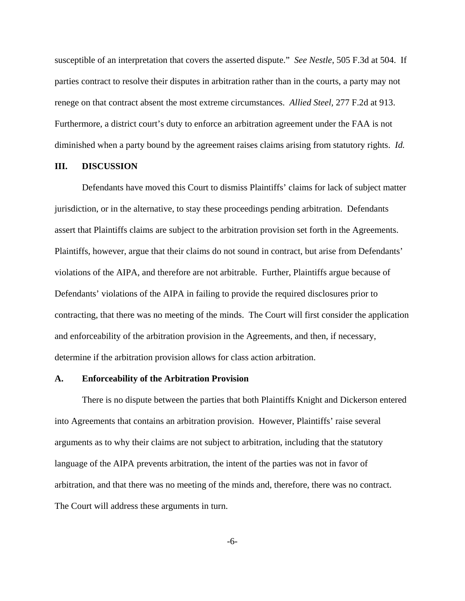susceptible of an interpretation that covers the asserted dispute." *See Nestle*, 505 F.3d at 504. If parties contract to resolve their disputes in arbitration rather than in the courts, a party may not renege on that contract absent the most extreme circumstances. *Allied Steel,* 277 F.2d at 913. Furthermore, a district court's duty to enforce an arbitration agreement under the FAA is not diminished when a party bound by the agreement raises claims arising from statutory rights. *Id.*

#### **III. DISCUSSION**

Defendants have moved this Court to dismiss Plaintiffs' claims for lack of subject matter jurisdiction, or in the alternative, to stay these proceedings pending arbitration. Defendants assert that Plaintiffs claims are subject to the arbitration provision set forth in the Agreements. Plaintiffs, however, argue that their claims do not sound in contract, but arise from Defendants' violations of the AIPA, and therefore are not arbitrable. Further, Plaintiffs argue because of Defendants' violations of the AIPA in failing to provide the required disclosures prior to contracting, that there was no meeting of the minds. The Court will first consider the application and enforceability of the arbitration provision in the Agreements, and then, if necessary, determine if the arbitration provision allows for class action arbitration.

#### **A. Enforceability of the Arbitration Provision**

There is no dispute between the parties that both Plaintiffs Knight and Dickerson entered into Agreements that contains an arbitration provision. However, Plaintiffs' raise several arguments as to why their claims are not subject to arbitration, including that the statutory language of the AIPA prevents arbitration, the intent of the parties was not in favor of arbitration, and that there was no meeting of the minds and, therefore, there was no contract. The Court will address these arguments in turn.

-6-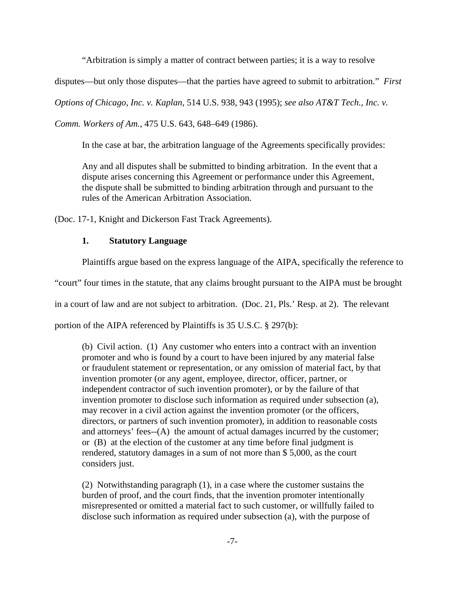"Arbitration is simply a matter of contract between parties; it is a way to resolve

disputes—but only those disputes—that the parties have agreed to submit to arbitration." *First*

*Options of Chicago, Inc. v. Kaplan*, 514 U.S. 938, 943 (1995); *see also AT&T Tech., Inc. v.*

*Comm. Workers of Am.*, 475 U.S. 643, 648–649 (1986).

In the case at bar, the arbitration language of the Agreements specifically provides:

Any and all disputes shall be submitted to binding arbitration. In the event that a dispute arises concerning this Agreement or performance under this Agreement, the dispute shall be submitted to binding arbitration through and pursuant to the rules of the American Arbitration Association.

(Doc. 17-1, Knight and Dickerson Fast Track Agreements).

## **1. Statutory Language**

Plaintiffs argue based on the express language of the AIPA, specifically the reference to

"court" four times in the statute, that any claims brought pursuant to the AIPA must be brought

in a court of law and are not subject to arbitration. (Doc. 21, Pls.' Resp. at 2). The relevant

portion of the AIPA referenced by Plaintiffs is 35 U.S.C. § 297(b):

(b) Civil action. (1) Any customer who enters into a contract with an invention promoter and who is found by a court to have been injured by any material false or fraudulent statement or representation, or any omission of material fact, by that invention promoter (or any agent, employee, director, officer, partner, or independent contractor of such invention promoter), or by the failure of that invention promoter to disclose such information as required under subsection (a), may recover in a civil action against the invention promoter (or the officers, directors, or partners of such invention promoter), in addition to reasonable costs and attorneys' fees--(A) the amount of actual damages incurred by the customer; or (B) at the election of the customer at any time before final judgment is rendered, statutory damages in a sum of not more than \$ 5,000, as the court considers just.

(2) Notwithstanding paragraph (1), in a case where the customer sustains the burden of proof, and the court finds, that the invention promoter intentionally misrepresented or omitted a material fact to such customer, or willfully failed to disclose such information as required under subsection (a), with the purpose of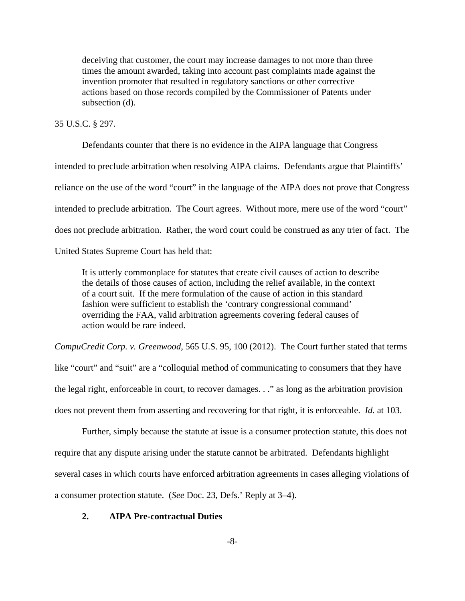deceiving that customer, the court may increase damages to not more than three times the amount awarded, taking into account past complaints made against the invention promoter that resulted in regulatory sanctions or other corrective actions based on those records compiled by the Commissioner of Patents under subsection (d).

## 35 U.S.C. § 297.

Defendants counter that there is no evidence in the AIPA language that Congress intended to preclude arbitration when resolving AIPA claims. Defendants argue that Plaintiffs' reliance on the use of the word "court" in the language of the AIPA does not prove that Congress intended to preclude arbitration. The Court agrees. Without more, mere use of the word "court" does not preclude arbitration. Rather, the word court could be construed as any trier of fact. The

United States Supreme Court has held that:

It is utterly commonplace for statutes that create civil causes of action to describe the details of those causes of action, including the relief available, in the context of a court suit. If the mere formulation of the cause of action in this standard fashion were sufficient to establish the 'contrary congressional command' overriding the FAA, valid arbitration agreements covering federal causes of action would be rare indeed.

*CompuCredit Corp. v. Greenwood*, 565 U.S. 95, 100 (2012). The Court further stated that terms like "court" and "suit" are a "colloquial method of communicating to consumers that they have the legal right, enforceable in court, to recover damages. . ." as long as the arbitration provision

does not prevent them from asserting and recovering for that right, it is enforceable. *Id.* at 103.

Further, simply because the statute at issue is a consumer protection statute, this does not require that any dispute arising under the statute cannot be arbitrated. Defendants highlight several cases in which courts have enforced arbitration agreements in cases alleging violations of a consumer protection statute. (*See* Doc. 23, Defs.' Reply at 3–4).

# **2. AIPA Pre-contractual Duties**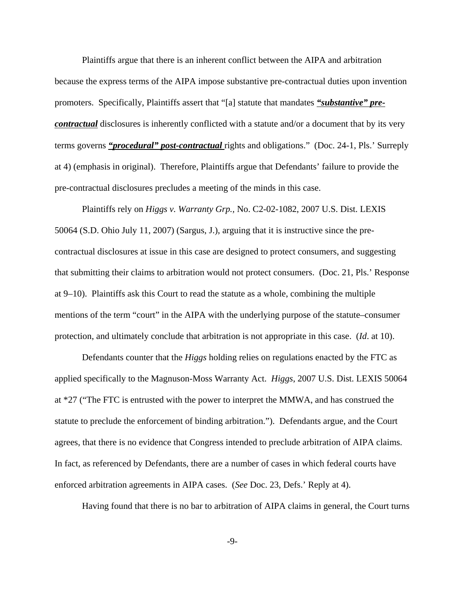Plaintiffs argue that there is an inherent conflict between the AIPA and arbitration because the express terms of the AIPA impose substantive pre-contractual duties upon invention promoters. Specifically, Plaintiffs assert that "[a] statute that mandates *"substantive" precontractual* disclosures is inherently conflicted with a statute and/or a document that by its very terms governs *"procedural" post-contractual* rights and obligations." (Doc. 24-1, Pls.' Surreply at 4) (emphasis in original). Therefore, Plaintiffs argue that Defendants' failure to provide the pre-contractual disclosures precludes a meeting of the minds in this case.

Plaintiffs rely on *Higgs v. Warranty Grp.,* No. C2-02-1082, 2007 U.S. Dist. LEXIS 50064 (S.D. Ohio July 11, 2007) (Sargus, J.), arguing that it is instructive since the precontractual disclosures at issue in this case are designed to protect consumers, and suggesting that submitting their claims to arbitration would not protect consumers. (Doc. 21, Pls.' Response at 9–10). Plaintiffs ask this Court to read the statute as a whole, combining the multiple mentions of the term "court" in the AIPA with the underlying purpose of the statute–consumer protection, and ultimately conclude that arbitration is not appropriate in this case. (*Id*. at 10).

Defendants counter that the *Higgs* holding relies on regulations enacted by the FTC as applied specifically to the Magnuson-Moss Warranty Act. *Higgs*, 2007 U.S. Dist. LEXIS 50064 at \*27 ("The FTC is entrusted with the power to interpret the MMWA, and has construed the statute to preclude the enforcement of binding arbitration."). Defendants argue, and the Court agrees, that there is no evidence that Congress intended to preclude arbitration of AIPA claims. In fact, as referenced by Defendants, there are a number of cases in which federal courts have enforced arbitration agreements in AIPA cases. (*See* Doc. 23, Defs.' Reply at 4).

Having found that there is no bar to arbitration of AIPA claims in general, the Court turns

-9-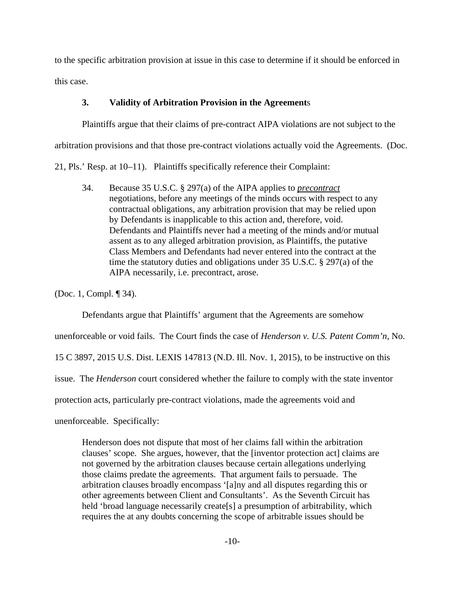to the specific arbitration provision at issue in this case to determine if it should be enforced in this case.

# **3. Validity of Arbitration Provision in the Agreement**s

Plaintiffs argue that their claims of pre-contract AIPA violations are not subject to the arbitration provisions and that those pre-contract violations actually void the Agreements. (Doc.

21, Pls.' Resp. at 10–11). Plaintiffs specifically reference their Complaint:

34. Because 35 U.S.C. § 297(a) of the AIPA applies to *precontract* negotiations, before any meetings of the minds occurs with respect to any contractual obligations, any arbitration provision that may be relied upon by Defendants is inapplicable to this action and, therefore, void. Defendants and Plaintiffs never had a meeting of the minds and/or mutual assent as to any alleged arbitration provision, as Plaintiffs, the putative Class Members and Defendants had never entered into the contract at the time the statutory duties and obligations under 35 U.S.C. § 297(a) of the AIPA necessarily, i.e. precontract, arose.

(Doc. 1, Compl. ¶ 34).

Defendants argue that Plaintiffs' argument that the Agreements are somehow

unenforceable or void fails. The Court finds the case of *Henderson v. U.S. Patent Comm'n*, No.

15 C 3897, 2015 U.S. Dist. LEXIS 147813 (N.D. Ill. Nov. 1, 2015), to be instructive on this

issue. The *Henderson* court considered whether the failure to comply with the state inventor

protection acts, particularly pre-contract violations, made the agreements void and

unenforceable. Specifically:

Henderson does not dispute that most of her claims fall within the arbitration clauses' scope. She argues, however, that the [inventor protection act] claims are not governed by the arbitration clauses because certain allegations underlying those claims predate the agreements. That argument fails to persuade. The arbitration clauses broadly encompass '[a]ny and all disputes regarding this or other agreements between Client and Consultants'. As the Seventh Circuit has held 'broad language necessarily create[s] a presumption of arbitrability, which requires the at any doubts concerning the scope of arbitrable issues should be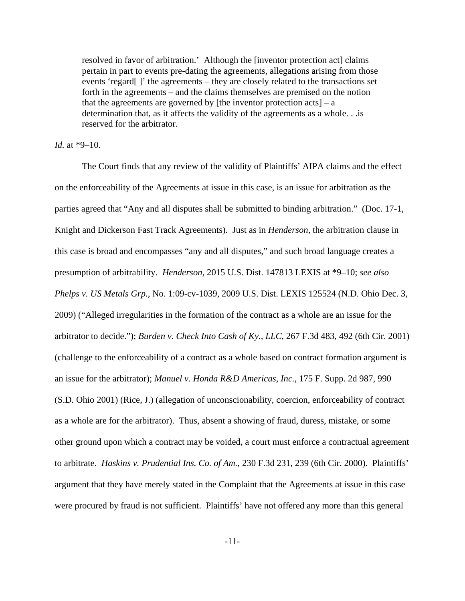resolved in favor of arbitration.' Although the [inventor protection act] claims pertain in part to events pre-dating the agreements, allegations arising from those events 'regard[ ]' the agreements – they are closely related to the transactions set forth in the agreements – and the claims themselves are premised on the notion that the agreements are governed by [the inventor protection  $acts] - a$ determination that, as it affects the validity of the agreements as a whole. . .is reserved for the arbitrator.

### *Id.* at \*9–10.

The Court finds that any review of the validity of Plaintiffs' AIPA claims and the effect on the enforceability of the Agreements at issue in this case, is an issue for arbitration as the parties agreed that "Any and all disputes shall be submitted to binding arbitration." (Doc. 17-1, Knight and Dickerson Fast Track Agreements). Just as in *Henderson*, the arbitration clause in this case is broad and encompasses "any and all disputes," and such broad language creates a presumption of arbitrability. *Henderson*, 2015 U.S. Dist. 147813 LEXIS at \*9–10; *see also Phelps v. US Metals Grp.*, No. 1:09-cv-1039, 2009 U.S. Dist. LEXIS 125524 (N.D. Ohio Dec. 3, 2009) ("Alleged irregularities in the formation of the contract as a whole are an issue for the arbitrator to decide."); *Burden v. Check Into Cash of Ky., LLC*, 267 F.3d 483, 492 (6th Cir. 2001) (challenge to the enforceability of a contract as a whole based on contract formation argument is an issue for the arbitrator); *Manuel v. Honda R&D Americas, Inc.*, 175 F. Supp. 2d 987, 990 (S.D. Ohio 2001) (Rice, J.) (allegation of unconscionability, coercion, enforceability of contract as a whole are for the arbitrator). Thus, absent a showing of fraud, duress, mistake, or some other ground upon which a contract may be voided, a court must enforce a contractual agreement to arbitrate. *Haskins v. Prudential Ins. Co. of Am.*, 230 F.3d 231, 239 (6th Cir. 2000). Plaintiffs' argument that they have merely stated in the Complaint that the Agreements at issue in this case were procured by fraud is not sufficient. Plaintiffs' have not offered any more than this general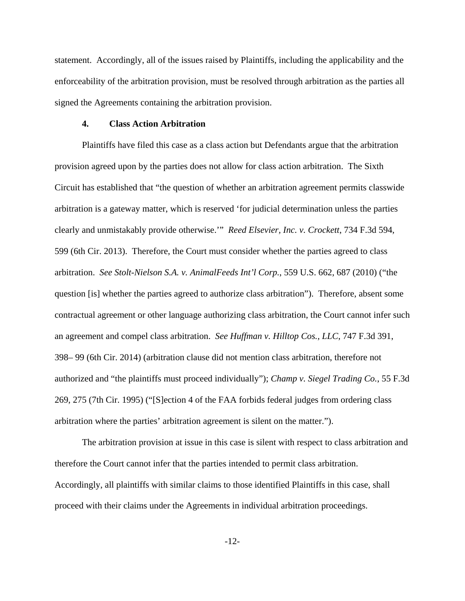statement. Accordingly, all of the issues raised by Plaintiffs, including the applicability and the enforceability of the arbitration provision, must be resolved through arbitration as the parties all signed the Agreements containing the arbitration provision.

#### **4. Class Action Arbitration**

 Plaintiffs have filed this case as a class action but Defendants argue that the arbitration provision agreed upon by the parties does not allow for class action arbitration. The Sixth Circuit has established that "the question of whether an arbitration agreement permits classwide arbitration is a gateway matter, which is reserved 'for judicial determination unless the parties clearly and unmistakably provide otherwise.'" *Reed Elsevier, Inc. v. Crockett*, 734 F.3d 594, 599 (6th Cir. 2013). Therefore, the Court must consider whether the parties agreed to class arbitration. *See Stolt-Nielson S.A. v. AnimalFeeds Int'l Corp.*, 559 U.S. 662, 687 (2010) ("the question [is] whether the parties agreed to authorize class arbitration"). Therefore, absent some contractual agreement or other language authorizing class arbitration, the Court cannot infer such an agreement and compel class arbitration. *See Huffman v. Hilltop Cos., LLC*, 747 F.3d 391, 398– 99 (6th Cir. 2014) (arbitration clause did not mention class arbitration, therefore not authorized and "the plaintiffs must proceed individually"); *Champ v. Siegel Trading Co.*, 55 F.3d 269, 275 (7th Cir. 1995) ("[S]ection 4 of the FAA forbids federal judges from ordering class arbitration where the parties' arbitration agreement is silent on the matter.").

The arbitration provision at issue in this case is silent with respect to class arbitration and therefore the Court cannot infer that the parties intended to permit class arbitration. Accordingly, all plaintiffs with similar claims to those identified Plaintiffs in this case, shall proceed with their claims under the Agreements in individual arbitration proceedings.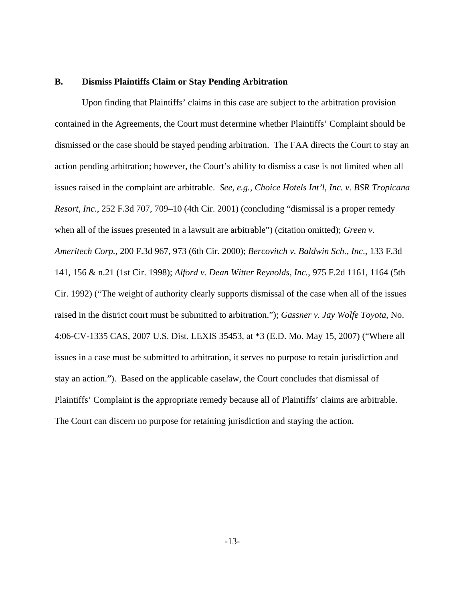#### **B. Dismiss Plaintiffs Claim or Stay Pending Arbitration**

Upon finding that Plaintiffs' claims in this case are subject to the arbitration provision contained in the Agreements, the Court must determine whether Plaintiffs' Complaint should be dismissed or the case should be stayed pending arbitration. The FAA directs the Court to stay an action pending arbitration; however, the Court's ability to dismiss a case is not limited when all issues raised in the complaint are arbitrable. *See, e.g., Choice Hotels Int'l, Inc. v. BSR Tropicana Resort, Inc*., 252 F.3d 707, 709–10 (4th Cir. 2001) (concluding "dismissal is a proper remedy when all of the issues presented in a lawsuit are arbitrable") (citation omitted); *Green v. Ameritech Corp.*, 200 F.3d 967, 973 (6th Cir. 2000); *Bercovitch v. Baldwin Sch., Inc*., 133 F.3d 141, 156 & n.21 (1st Cir. 1998); *Alford v. Dean Witter Reynolds, Inc.*, 975 F.2d 1161, 1164 (5th Cir. 1992) ("The weight of authority clearly supports dismissal of the case when all of the issues raised in the district court must be submitted to arbitration."); *Gassner v. Jay Wolfe Toyota*, No. 4:06-CV-1335 CAS, 2007 U.S. Dist. LEXIS 35453, at \*3 (E.D. Mo. May 15, 2007) ("Where all issues in a case must be submitted to arbitration, it serves no purpose to retain jurisdiction and stay an action."). Based on the applicable caselaw, the Court concludes that dismissal of Plaintiffs' Complaint is the appropriate remedy because all of Plaintiffs' claims are arbitrable. The Court can discern no purpose for retaining jurisdiction and staying the action.